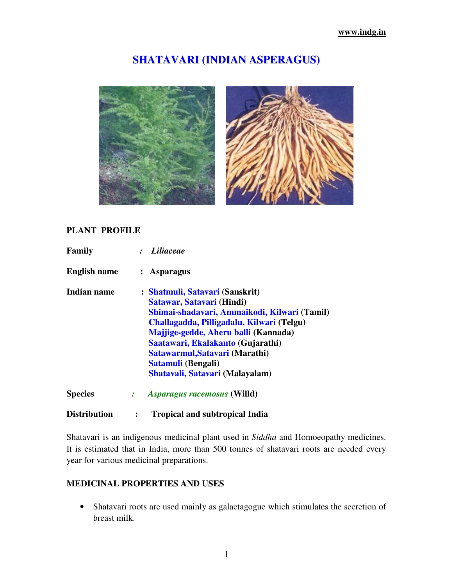# **SHATAVARI (INDIAN ASPERAGUS)**





#### **PLANT PROFILE**

| Family              | Liliaceae                                                                                                                                                                                                                                                                                                                         |
|---------------------|-----------------------------------------------------------------------------------------------------------------------------------------------------------------------------------------------------------------------------------------------------------------------------------------------------------------------------------|
| <b>English name</b> | <b>Asparagus</b>                                                                                                                                                                                                                                                                                                                  |
| <b>Indian name</b>  | : Shatmuli, Satavari (Sanskrit)<br>Satawar, Satavari (Hindi)<br>Shimai-shadavari, Ammaikodi, Kilwari (Tamil)<br>Challagadda, Pilligadalu, Kilwari (Telgu)<br>Majjige-gedde, Aheru balli (Kannada)<br>Saatawari, Ekalakanto (Gujarathi)<br>Satawarmul, Satavari (Marathi)<br>Satamuli (Bengali)<br>Shatavali, Satavari (Malayalam) |
| <b>Species</b>      | <i>Asparagus racemosus</i> (Willd)                                                                                                                                                                                                                                                                                                |

# **Distribution : Tropical and subtropical India**

Shatavari is an indigenous medicinal plant used in *Siddha* and Homoeopathy medicines. It is estimated that in India, more than 500 tonnes of shatavari roots are needed every year for various medicinal preparations.

#### **MEDICINAL PROPERTIES AND USES**

• Shatavari roots are used mainly as galactagogue which stimulates the secretion of breast milk.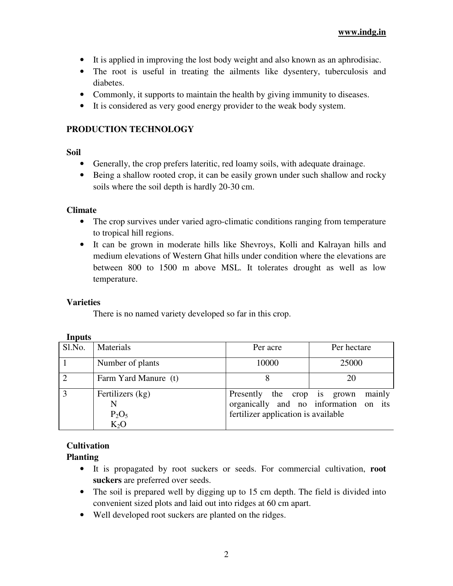- It is applied in improving the lost body weight and also known as an aphrodisiac.
- The root is useful in treating the ailments like dysentery, tuberculosis and diabetes.
- Commonly, it supports to maintain the health by giving immunity to diseases.
- It is considered as very good energy provider to the weak body system.

#### **PRODUCTION TECHNOLOGY**

**Soil** 

- Generally, the crop prefers lateritic, red loamy soils, with adequate drainage.
- Being a shallow rooted crop, it can be easily grown under such shallow and rocky soils where the soil depth is hardly 20-30 cm.

#### **Climate**

- The crop survives under varied agro-climatic conditions ranging from temperature to tropical hill regions.
- It can be grown in moderate hills like Shevroys, Kolli and Kalrayan hills and medium elevations of Western Ghat hills under condition where the elevations are between 800 to 1500 m above MSL. It tolerates drought as well as low temperature.

#### **Varieties**

There is no named variety developed so far in this crop.

| <b>LUPULO</b>  |                                        |                                                                    |                                                 |  |
|----------------|----------------------------------------|--------------------------------------------------------------------|-------------------------------------------------|--|
| Sl.No.         | Materials                              | Per acre                                                           | Per hectare                                     |  |
|                | Number of plants                       | 10000                                                              | 25000                                           |  |
| $\overline{2}$ | Farm Yard Manure (t)                   |                                                                    | 20                                              |  |
| 3              | Fertilizers (kg)<br>$P_2O_5$<br>$K_2O$ | Presently the crop is grown<br>fertilizer application is available | mainly<br>organically and no information on its |  |

#### **Inputs**

# **Cultivation**

# **Planting**

- It is propagated by root suckers or seeds. For commercial cultivation, **root suckers** are preferred over seeds.
- The soil is prepared well by digging up to 15 cm depth. The field is divided into convenient sized plots and laid out into ridges at 60 cm apart.
- Well developed root suckers are planted on the ridges.